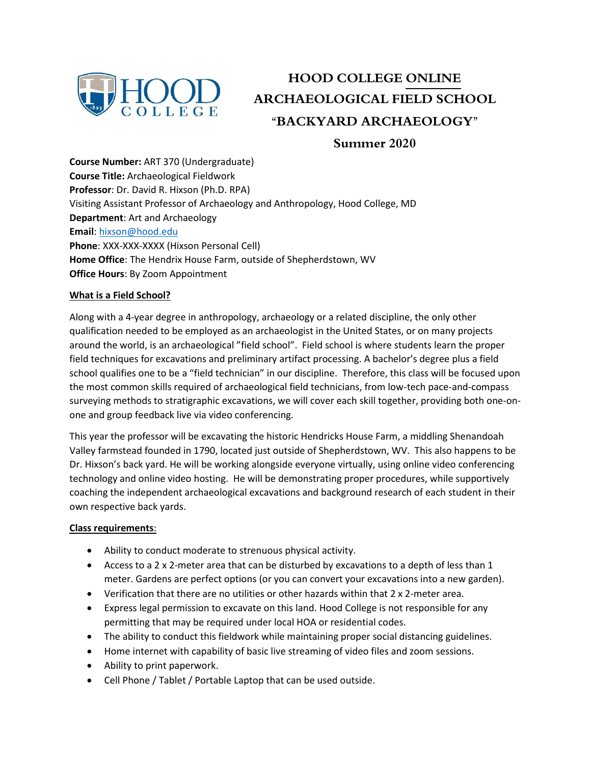

# **HOOD COLLEGE ONLINE ARCHAEOLOGICAL FIELD SCHOOL "BACKYARD ARCHAEOLOGY"**

**Summer 2020**

**Course Number:** ART 370 (Undergraduate) **Course Title:** Archaeological Fieldwork **Professor**: Dr. David R. Hixson (Ph.D. RPA) Visiting Assistant Professor of Archaeology and Anthropology, Hood College, MD **Department**: Art and Archaeology **Email**[: hixson@hood.edu](mailto:hixson@hood.edu) **Phone**: XXX-XXX-XXXX (Hixson Personal Cell) **Home Office**: The Hendrix House Farm, outside of Shepherdstown, WV **Office Hours**: By Zoom Appointment

# **What is a Field School?**

Along with a 4-year degree in anthropology, archaeology or a related discipline, the only other qualification needed to be employed as an archaeologist in the United States, or on many projects around the world, is an archaeological "field school". Field school is where students learn the proper field techniques for excavations and preliminary artifact processing. A bachelor's degree plus a field school qualifies one to be a "field technician" in our discipline. Therefore, this class will be focused upon the most common skills required of archaeological field technicians, from low-tech pace-and-compass surveying methods to stratigraphic excavations, we will cover each skill together, providing both one-onone and group feedback live via video conferencing.

This year the professor will be excavating the historic Hendricks House Farm, a middling Shenandoah Valley farmstead founded in 1790, located just outside of Shepherdstown, WV. This also happens to be Dr. Hixson's back yard. He will be working alongside everyone virtually, using online video conferencing technology and online video hosting. He will be demonstrating proper procedures, while supportively coaching the independent archaeological excavations and background research of each student in their own respective back yards.

## **Class requirements**:

- Ability to conduct moderate to strenuous physical activity.
- Access to a 2 x 2-meter area that can be disturbed by excavations to a depth of less than 1 meter. Gardens are perfect options (or you can convert your excavations into a new garden).
- Verification that there are no utilities or other hazards within that 2 x 2-meter area.
- Express legal permission to excavate on this land. Hood College is not responsible for any permitting that may be required under local HOA or residential codes.
- The ability to conduct this fieldwork while maintaining proper social distancing guidelines.
- Home internet with capability of basic live streaming of video files and zoom sessions.
- Ability to print paperwork.
- Cell Phone / Tablet / Portable Laptop that can be used outside.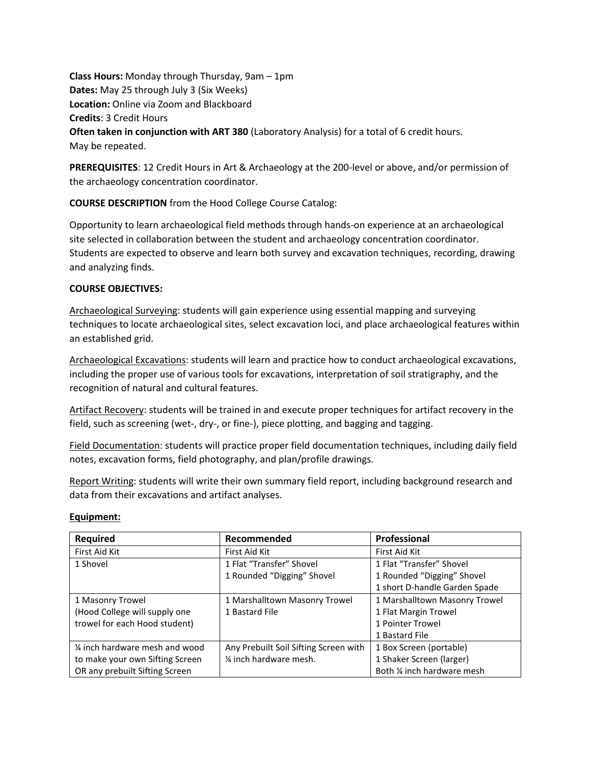**Class Hours:** Monday through Thursday, 9am – 1pm **Dates:** May 25 through July 3 (Six Weeks) **Location:** Online via Zoom and Blackboard **Credits**: 3 Credit Hours **Often taken in conjunction with ART 380** (Laboratory Analysis) for a total of 6 credit hours. May be repeated.

**PREREQUISITES**: 12 Credit Hours in Art & Archaeology at the 200-level or above, and/or permission of the archaeology concentration coordinator.

**COURSE DESCRIPTION** from the Hood College Course Catalog:

Opportunity to learn archaeological field methods through hands-on experience at an archaeological site selected in collaboration between the student and archaeology concentration coordinator. Students are expected to observe and learn both survey and excavation techniques, recording, drawing and analyzing finds.

# **COURSE OBJECTIVES:**

Archaeological Surveying: students will gain experience using essential mapping and surveying techniques to locate archaeological sites, select excavation loci, and place archaeological features within an established grid.

Archaeological Excavations: students will learn and practice how to conduct archaeological excavations, including the proper use of various tools for excavations, interpretation of soil stratigraphy, and the recognition of natural and cultural features.

Artifact Recovery: students will be trained in and execute proper techniques for artifact recovery in the field, such as screening (wet-, dry-, or fine-), piece plotting, and bagging and tagging.

Field Documentation: students will practice proper field documentation techniques, including daily field notes, excavation forms, field photography, and plan/profile drawings.

Report Writing: students will write their own summary field report, including background research and data from their excavations and artifact analyses.

## **Equipment:**

| Required                        | Recommended                           | Professional                  |
|---------------------------------|---------------------------------------|-------------------------------|
| First Aid Kit                   | First Aid Kit                         | First Aid Kit                 |
| 1 Shovel                        | 1 Flat "Transfer" Shovel              | 1 Flat "Transfer" Shovel      |
|                                 | 1 Rounded "Digging" Shovel            | 1 Rounded "Digging" Shovel    |
|                                 |                                       | 1 short D-handle Garden Spade |
| 1 Masonry Trowel                | 1 Marshalltown Masonry Trowel         | 1 Marshalltown Masonry Trowel |
| (Hood College will supply one   | 1 Bastard File                        | 1 Flat Margin Trowel          |
| trowel for each Hood student)   |                                       | 1 Pointer Trowel              |
|                                 |                                       | 1 Bastard File                |
| 1/4 inch hardware mesh and wood | Any Prebuilt Soil Sifting Screen with | 1 Box Screen (portable)       |
| to make your own Sifting Screen | 1/4 inch hardware mesh.               | 1 Shaker Screen (larger)      |
| OR any prebuilt Sifting Screen  |                                       | Both 1/4 inch hardware mesh   |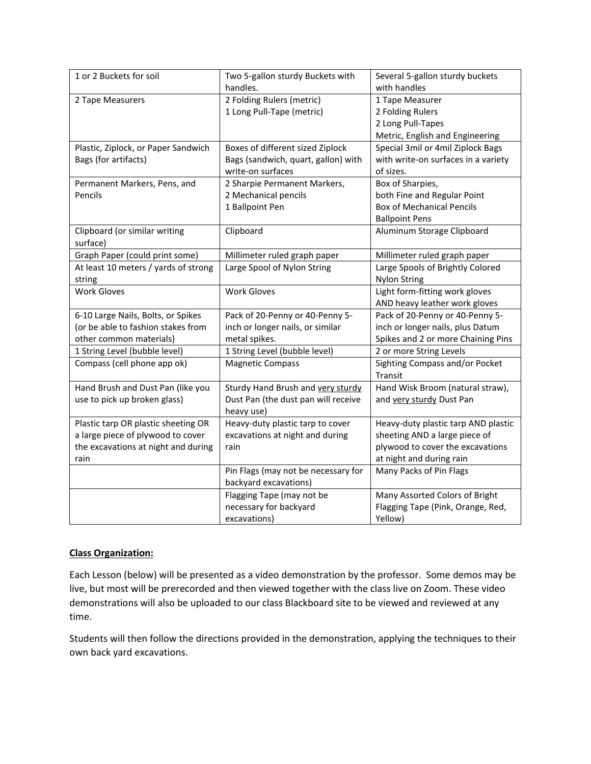| 1 or 2 Buckets for soil              | Two 5-gallon sturdy Buckets with    | Several 5-gallon sturdy buckets     |
|--------------------------------------|-------------------------------------|-------------------------------------|
|                                      | handles.                            | with handles                        |
| 2 Tape Measurers                     | 2 Folding Rulers (metric)           | 1 Tape Measurer                     |
|                                      | 1 Long Pull-Tape (metric)           | 2 Folding Rulers                    |
|                                      |                                     | 2 Long Pull-Tapes                   |
|                                      |                                     | Metric, English and Engineering     |
| Plastic, Ziplock, or Paper Sandwich  | Boxes of different sized Ziplock    | Special 3mil or 4mil Ziplock Bags   |
| Bags (for artifacts)                 | Bags (sandwich, quart, gallon) with | with write-on surfaces in a variety |
|                                      | write-on surfaces                   | of sizes.                           |
| Permanent Markers, Pens, and         | 2 Sharpie Permanent Markers,        | Box of Sharpies,                    |
| Pencils                              | 2 Mechanical pencils                | both Fine and Regular Point         |
|                                      | 1 Ballpoint Pen                     | <b>Box of Mechanical Pencils</b>    |
|                                      |                                     | <b>Ballpoint Pens</b>               |
| Clipboard (or similar writing        | Clipboard                           | Aluminum Storage Clipboard          |
| surface)                             |                                     |                                     |
| Graph Paper (could print some)       | Millimeter ruled graph paper        | Millimeter ruled graph paper        |
| At least 10 meters / yards of strong | Large Spool of Nylon String         | Large Spools of Brightly Colored    |
| string                               |                                     | <b>Nylon String</b>                 |
| <b>Work Gloves</b>                   | <b>Work Gloves</b>                  | Light form-fitting work gloves      |
|                                      |                                     | AND heavy leather work gloves       |
| 6-10 Large Nails, Bolts, or Spikes   | Pack of 20-Penny or 40-Penny 5-     | Pack of 20-Penny or 40-Penny 5-     |
| (or be able to fashion stakes from   | inch or longer nails, or similar    | inch or longer nails, plus Datum    |
| other common materials)              | metal spikes.                       | Spikes and 2 or more Chaining Pins  |
| 1 String Level (bubble level)        | 1 String Level (bubble level)       | 2 or more String Levels             |
| Compass (cell phone app ok)          | <b>Magnetic Compass</b>             | Sighting Compass and/or Pocket      |
|                                      |                                     | Transit                             |
| Hand Brush and Dust Pan (like you    | Sturdy Hand Brush and very sturdy   | Hand Wisk Broom (natural straw),    |
| use to pick up broken glass)         | Dust Pan (the dust pan will receive | and very sturdy Dust Pan            |
|                                      | heavy use)                          |                                     |
| Plastic tarp OR plastic sheeting OR  | Heavy-duty plastic tarp to cover    | Heavy-duty plastic tarp AND plastic |
| a large piece of plywood to cover    | excavations at night and during     | sheeting AND a large piece of       |
| the excavations at night and during  | rain                                | plywood to cover the excavations    |
| rain                                 |                                     | at night and during rain            |
|                                      | Pin Flags (may not be necessary for | Many Packs of Pin Flags             |
|                                      | backyard excavations)               |                                     |
|                                      | Flagging Tape (may not be           | Many Assorted Colors of Bright      |
|                                      | necessary for backyard              | Flagging Tape (Pink, Orange, Red,   |
|                                      | excavations)                        | Yellow)                             |

# **Class Organization:**

Each Lesson (below) will be presented as a video demonstration by the professor. Some demos may be live, but most will be prerecorded and then viewed together with the class live on Zoom. These video demonstrations will also be uploaded to our class Blackboard site to be viewed and reviewed at any time.

Students will then follow the directions provided in the demonstration, applying the techniques to their own back yard excavations.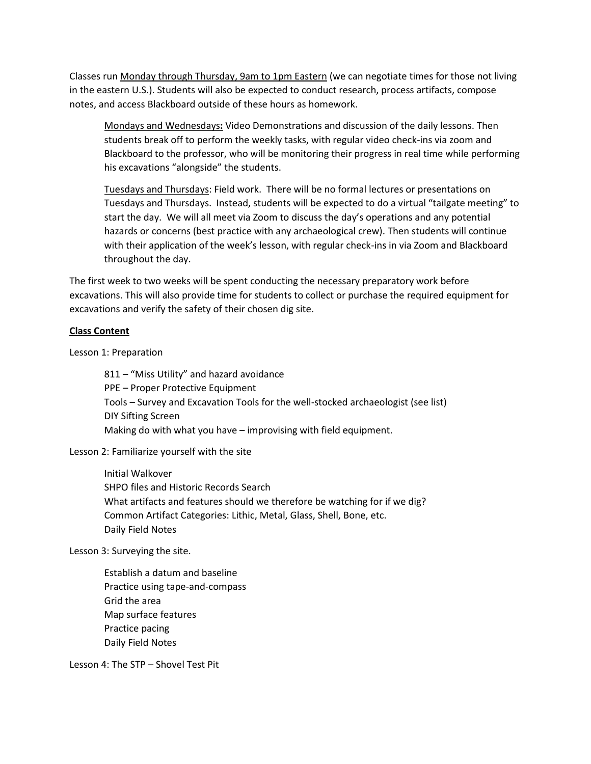Classes run Monday through Thursday, 9am to 1pm Eastern (we can negotiate times for those not living in the eastern U.S.). Students will also be expected to conduct research, process artifacts, compose notes, and access Blackboard outside of these hours as homework.

Mondays and Wednesdays**:** Video Demonstrations and discussion of the daily lessons. Then students break off to perform the weekly tasks, with regular video check-ins via zoom and Blackboard to the professor, who will be monitoring their progress in real time while performing his excavations "alongside" the students.

Tuesdays and Thursdays: Field work. There will be no formal lectures or presentations on Tuesdays and Thursdays. Instead, students will be expected to do a virtual "tailgate meeting" to start the day. We will all meet via Zoom to discuss the day's operations and any potential hazards or concerns (best practice with any archaeological crew). Then students will continue with their application of the week's lesson, with regular check-ins in via Zoom and Blackboard throughout the day.

The first week to two weeks will be spent conducting the necessary preparatory work before excavations. This will also provide time for students to collect or purchase the required equipment for excavations and verify the safety of their chosen dig site.

#### **Class Content**

Lesson 1: Preparation

811 – "Miss Utility" and hazard avoidance PPE – Proper Protective Equipment Tools – Survey and Excavation Tools for the well-stocked archaeologist (see list) DIY Sifting Screen Making do with what you have – improvising with field equipment.

Lesson 2: Familiarize yourself with the site

Initial Walkover SHPO files and Historic Records Search What artifacts and features should we therefore be watching for if we dig? Common Artifact Categories: Lithic, Metal, Glass, Shell, Bone, etc. Daily Field Notes

Lesson 3: Surveying the site.

Establish a datum and baseline Practice using tape-and-compass Grid the area Map surface features Practice pacing Daily Field Notes

Lesson 4: The STP – Shovel Test Pit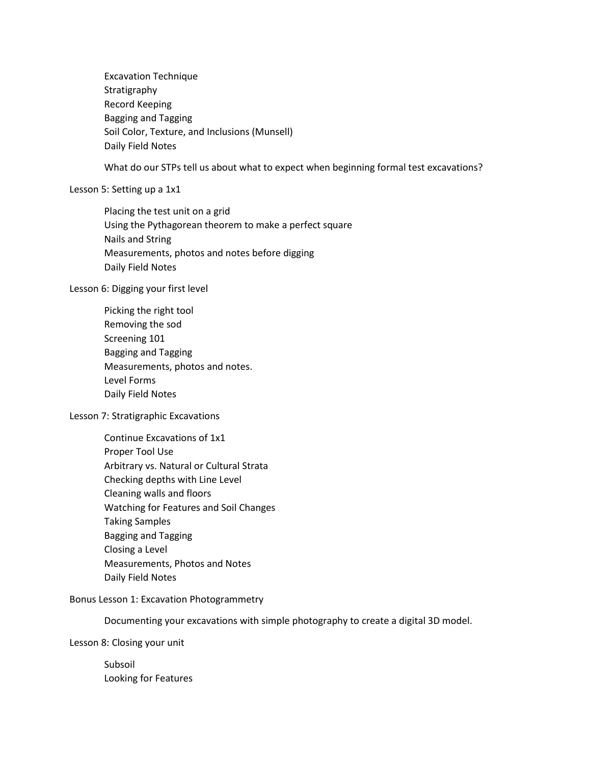Excavation Technique Stratigraphy Record Keeping Bagging and Tagging Soil Color, Texture, and Inclusions (Munsell) Daily Field Notes

What do our STPs tell us about what to expect when beginning formal test excavations?

#### Lesson 5: Setting up a 1x1

Placing the test unit on a grid Using the Pythagorean theorem to make a perfect square Nails and String Measurements, photos and notes before digging Daily Field Notes

#### Lesson 6: Digging your first level

Picking the right tool Removing the sod Screening 101 Bagging and Tagging Measurements, photos and notes. Level Forms Daily Field Notes

## Lesson 7: Stratigraphic Excavations

Continue Excavations of 1x1 Proper Tool Use Arbitrary vs. Natural or Cultural Strata Checking depths with Line Level Cleaning walls and floors Watching for Features and Soil Changes Taking Samples Bagging and Tagging Closing a Level Measurements, Photos and Notes Daily Field Notes

## Bonus Lesson 1: Excavation Photogrammetry

Documenting your excavations with simple photography to create a digital 3D model.

Lesson 8: Closing your unit

Subsoil Looking for Features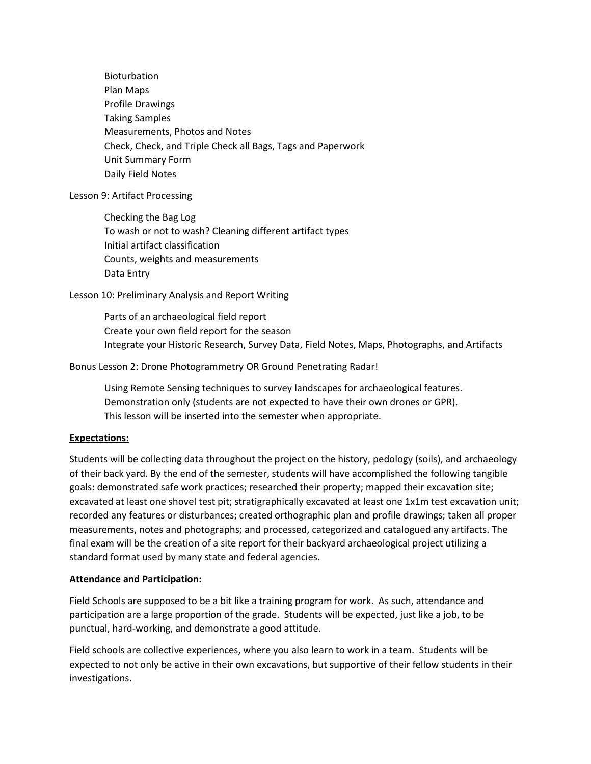Bioturbation Plan Maps Profile Drawings Taking Samples Measurements, Photos and Notes Check, Check, and Triple Check all Bags, Tags and Paperwork Unit Summary Form Daily Field Notes

## Lesson 9: Artifact Processing

Checking the Bag Log To wash or not to wash? Cleaning different artifact types Initial artifact classification Counts, weights and measurements Data Entry

## Lesson 10: Preliminary Analysis and Report Writing

Parts of an archaeological field report Create your own field report for the season Integrate your Historic Research, Survey Data, Field Notes, Maps, Photographs, and Artifacts

## Bonus Lesson 2: Drone Photogrammetry OR Ground Penetrating Radar!

Using Remote Sensing techniques to survey landscapes for archaeological features. Demonstration only (students are not expected to have their own drones or GPR). This lesson will be inserted into the semester when appropriate.

#### **Expectations:**

Students will be collecting data throughout the project on the history, pedology (soils), and archaeology of their back yard. By the end of the semester, students will have accomplished the following tangible goals: demonstrated safe work practices; researched their property; mapped their excavation site; excavated at least one shovel test pit; stratigraphically excavated at least one 1x1m test excavation unit; recorded any features or disturbances; created orthographic plan and profile drawings; taken all proper measurements, notes and photographs; and processed, categorized and catalogued any artifacts. The final exam will be the creation of a site report for their backyard archaeological project utilizing a standard format used by many state and federal agencies.

## **Attendance and Participation:**

Field Schools are supposed to be a bit like a training program for work. As such, attendance and participation are a large proportion of the grade. Students will be expected, just like a job, to be punctual, hard-working, and demonstrate a good attitude.

Field schools are collective experiences, where you also learn to work in a team. Students will be expected to not only be active in their own excavations, but supportive of their fellow students in their investigations.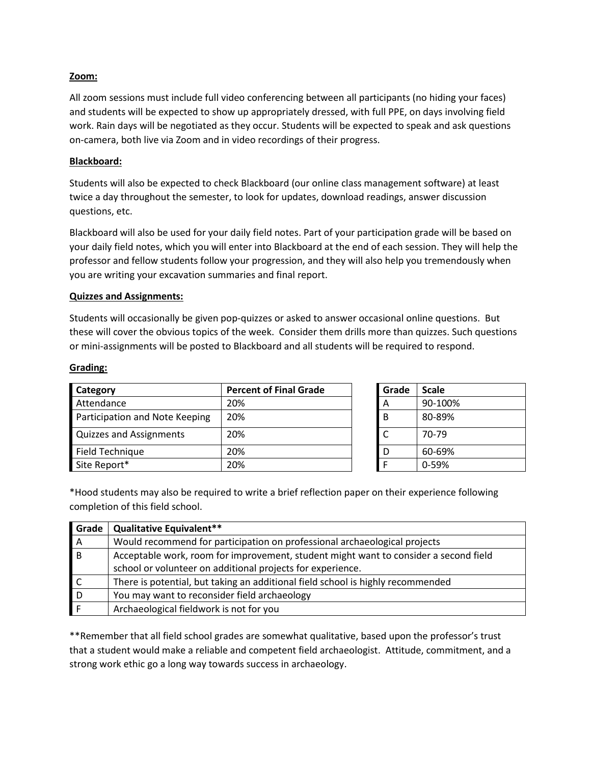## **Zoom:**

All zoom sessions must include full video conferencing between all participants (no hiding your faces) and students will be expected to show up appropriately dressed, with full PPE, on days involving field work. Rain days will be negotiated as they occur. Students will be expected to speak and ask questions on-camera, both live via Zoom and in video recordings of their progress.

# **Blackboard:**

Students will also be expected to check Blackboard (our online class management software) at least twice a day throughout the semester, to look for updates, download readings, answer discussion questions, etc.

Blackboard will also be used for your daily field notes. Part of your participation grade will be based on your daily field notes, which you will enter into Blackboard at the end of each session. They will help the professor and fellow students follow your progression, and they will also help you tremendously when you are writing your excavation summaries and final report.

## **Quizzes and Assignments:**

Students will occasionally be given pop-quizzes or asked to answer occasional online questions. But these will cover the obvious topics of the week. Consider them drills more than quizzes. Such questions or mini-assignments will be posted to Blackboard and all students will be required to respond.

## **Grading:**

| Category                       | <b>Percent of Final Grade</b> | Grade | <b>Scale</b> |
|--------------------------------|-------------------------------|-------|--------------|
| Attendance                     | 20%                           | A     | 90-100%      |
| Participation and Note Keeping | 20%                           | B     | 80-89%       |
| <b>Quizzes and Assignments</b> | 20%                           |       | 70-79        |
| Field Technique                | 20%                           | D     | 60-69%       |
| Site Report*                   | 20%                           | -F    | 0-59%        |

| Grade | <b>Scale</b> |
|-------|--------------|
| А     | 90-100%      |
| B     | 80-89%       |
| C     | 70-79        |
| D     | 60-69%       |
|       | 0-59%        |

\*Hood students may also be required to write a brief reflection paper on their experience following completion of this field school.

| Grade        | <b>Qualitative Equivalent**</b>                                                      |
|--------------|--------------------------------------------------------------------------------------|
| $\mathsf{A}$ | Would recommend for participation on professional archaeological projects            |
| l B          | Acceptable work, room for improvement, student might want to consider a second field |
|              | school or volunteer on additional projects for experience.                           |
|              | There is potential, but taking an additional field school is highly recommended      |
| D            | You may want to reconsider field archaeology                                         |
|              | Archaeological fieldwork is not for you                                              |

\*\*Remember that all field school grades are somewhat qualitative, based upon the professor's trust that a student would make a reliable and competent field archaeologist. Attitude, commitment, and a strong work ethic go a long way towards success in archaeology.